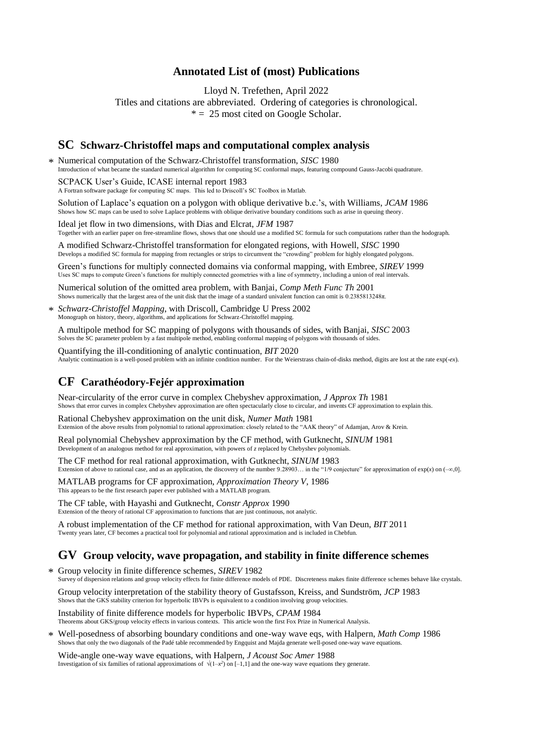### **Annotated List of (most) Publications**

Lloyd N. Trefethen, April 2022

Titles and citations are abbreviated. Ordering of categories is chronological.  $* = 25$  most cited on Google Scholar.

### **SC Schwarz-Christoffel maps and computational complex analysis**

Numerical computation of the Schwarz-Christoffel transformation, *SISC* 1980 \*Introduction of what became the standard numerical algorithm for computing SC conformal maps, featuring compound Gauss-Jacobi quadrature. SCPACK User's Guide, ICASE internal report 1983

A Fortran software package for computing SC maps. This led to Driscoll's SC Toolbox in Matlab.

Solution of Laplace's equation on a polygon with oblique derivative b.c.'s, with Williams, *JCAM* 1986 Shows how SC maps can be used to solve Laplace problems with oblique derivative boundary conditions such as arise in queuing theory.

Ideal jet flow in two dimensions, with Dias and Elcrat, *JFM* 1987 Together with an earlier paper on free-streamline flows, shows that one should use a modified SC formula for such computations rather than the hodograph.

A modified Schwarz-Christoffel transformation for elongated regions, with Howell, *SISC* 1990 Develops a modified SC formula for mapping from rectangles or strips to circumvent the "crowding" problem for highly elongated polygons.

Green's functions for multiply connected domains via conformal mapping, with Embree, *SIREV* 1999 Uses SC maps to compute Green's functions for multiply connected geometries with a line of symmetry, including a union of real intervals.

Numerical solution of the omitted area problem, with Banjai, *Comp Meth Func Th* 2001 Shows numerically that the largest area of the unit disk that the image of a standard univalent function can omit is 0.2385813248π.

*Schwarz-Christoffel Mapping*, with Driscoll, Cambridge U Press 2002 \* Monograph on history, theory, algorithms, and applications for Schwarz-Christoffel mapping.

A multipole method for SC mapping of polygons with thousands of sides, with Banjai, *SISC* 2003 Solves the SC parameter problem by a fast multipole method, enabling conformal mapping of polygons with thousands of sides.

Quantifying the ill-conditioning of analytic continuation, *BIT* 2020 Analytic continuation is a well-posed problem with an infinite condition number. For the Weierstrass chain-of-disks method, digits are lost at the rate exp(-*ex*).

### **CF Carathéodory-Fejér approximation**

Near-circularity of the error curve in complex Chebyshev approximation, *J Approx Th* 1981 Shows that error curves in complex Chebyshev approximation are often spectacularly close to circular, and invents CF approximation to explain this.

Rational Chebyshev approximation on the unit disk, *Numer Math* 1981 Extension of the above results from polynomial to rational approximation: closely related to the "AAK theory" of Adamjan, Arov & Krein.

Real polynomial Chebyshev approximation by the CF method, with Gutknecht, *SINUM* 1981 Development of an analogous method for real approximation, with powers of *z* replaced by Chebyshev polynomials.

The CF method for real rational approximation, with Gutknecht, *SINUM* 1983 Extension of above to rational case, and as an application, the discovery of the number 9.28903… in the "1/9 conjecture" for approximation of  $exp(x)$  on  $(-\infty,0]$ .

MATLAB programs for CF approximation, *Approximation Theory V*, 1986 This appears to be the first research paper ever published with a MATLAB program.

The CF table, with Hayashi and Gutknecht, *Constr Approx* 1990 Extension of the theory of rational CF approximation to functions that are just continuous, not analytic.

A robust implementation of the CF method for rational approximation, with Van Deun, *BIT* 2011 Twenty years later, CF becomes a practical tool for polynomial and rational approximation and is included in Chebfun.

#### **GV Group velocity, wave propagation, and stability in finite difference schemes**

Group velocity in finite difference schemes, *SIREV* 1982 \* Survey of dispersion relations and group velocity effects for finite difference models of PDE. Discreteness makes finite difference schemes behave like crystals.

Group velocity interpretation of the stability theory of Gustafsson, Kreiss, and Sundström, *JCP* 1983 Shows that the GKS stability criterion for hyperbolic IBVPs is equivalent to a condition involving group velocities.

Instability of finite difference models for hyperbolic IBVPs, *CPAM* 1984 Theorems about GKS/group velocity effects in various contexts. This article won the first Fox Prize in Numerical Analysis.

Well-posedness of absorbing boundary conditions and one-way wave eqs, with Halpern, *Math Comp* 1986 Shows that only the two diagonals of the Padé table recommended by Engquist and Majda generate well-posed one-way wave equations. \*

Wide-angle one-way wave equations, with Halpern, *J Acoust Soc Amer* 1988 Investigation of six families of rational approximations of  $\sqrt{(1-x^2)}$  on [–1,1] and the one-way wave equations they generate.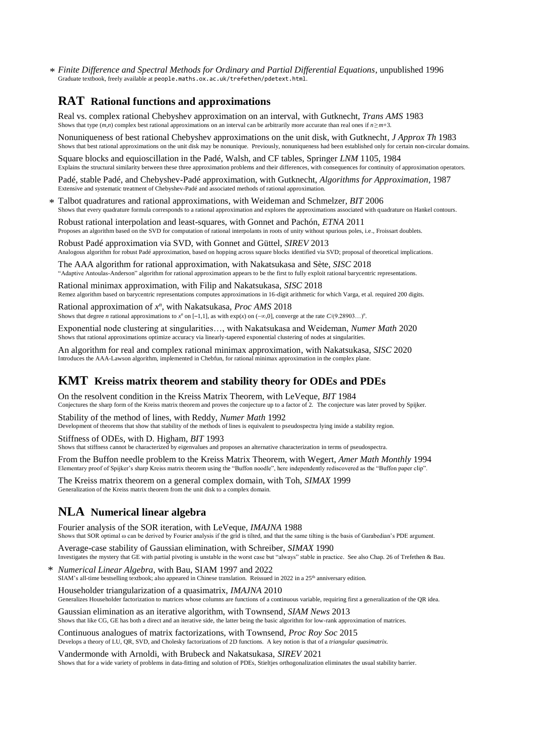*Finite Difference and Spectral Methods for Ordinary and Partial Differential Equations*, unpublished 1996 \*Graduate textbook, freely available at people.maths.ox.ac.uk/trefethen/pdetext.html.

### **RAT Rational functions and approximations**

Real vs. complex rational Chebyshev approximation on an interval, with Gutknecht, *Trans AMS* 1983 Shows that type  $(m, n)$  complex best rational approximations on an interval can be arbitrarily more accurate than real ones if  $n \ge m+3$ .

Nonuniqueness of best rational Chebyshev approximations on the unit disk, with Gutknecht*, J Approx Th* 1983 Shows that best rational approximations on the unit disk may be nonunique. Previously, nonuniqueness had been established only for certain non-circular domains.

Square blocks and equioscillation in the Padé, Walsh, and CF tables, Springer *LNM* 1105, 1984 Explains the structural similarity between these three approximation problems and their differences, with consequences for continuity of approximation operators.

Padé, stable Padé, and Chebyshev-Padé approximation, with Gutknecht, *Algorithms for Approximation*, 1987 Extensive and systematic treatment of Chebyshev-Padé and associated methods of rational approximation.

Talbot quadratures and rational approximations, with Weideman and Schmelzer, *BIT* 2006 Shows that every quadrature formula corresponds to a rational approximation and explores the approximations associated with quadrature on Hankel contours. \*

Robust rational interpolation and least-squares, with Gonnet and Pachón, *ETNA* 2011 Proposes an algorithm based on the SVD for computation of rational interpolants in roots of unity without spurious poles, i.e., Froissart doublets.

Robust Padé approximation via SVD, with Gonnet and Güttel, *SIREV* 2013 Analogous algorithm for robust Padé approximation, based on hopping across square blocks identified via SVD; proposal of theoretical implications.

The AAA algorithm for rational approximation, with Nakatsukasa and Sète, *SISC* 2018 "Adaptive Antoulas-Anderson" algorithm for rational approximation appears to be the first to fully exploit rational barycentric representations.

Rational minimax approximation, with Filip and Nakatsukasa, *SISC* 2018 Remez algorithm based on barycentric representations computes approximations in 16-digit arithmetic for which Varga, et al. required 200 digits.

Rational approximation of *x n* , with Nakatsukasa, *Proc AMS* 2018 Shows that degree *n* rational approximations to  $x^n$  on  $[-1,1]$ , as with  $exp(x)$  on  $(-\infty,0]$ , converge at the rate  $C/(9.28903...)^n$ .

Exponential node clustering at singularities…, with Nakatsukasa and Weideman, *Numer Math* 2020 Shows that rational approximations optimize accuracy via linearly-tapered exponential clustering of nodes at singularities.

An algorithm for real and complex rational minimax approximation, with Nakatsukasa, *SISC* 2020 Introduces the AAA-Lawson algorithm, implemented in Chebfun, for rational minimax approximation in the complex plane.

### **KMT Kreiss matrix theorem and stability theory for ODEs and PDEs**

On the resolvent condition in the Kreiss Matrix Theorem, with LeVeque, *BIT* 1984 Conjectures the sharp form of the Kreiss matrix theorem and proves the conjecture up to a factor of 2. The conjecture was later proved by Spijker.

Stability of the method of lines, with Reddy, *Numer Math* 1992

Development of theorems that show that stability of the methods of lines is equivalent to pseudospectra lying inside a stability region.

Stiffness of ODEs, with D. Higham*, BIT* 1993

Shows that stiffness cannot be characterized by eigenvalues and proposes an alternative characterization in terms of pseudospectra.

From the Buffon needle problem to the Kreiss Matrix Theorem, with Wegert, *Amer Math Monthly* 1994 Elementary proof of Spijker's sharp Kreiss matrix theorem using the "Buffon noodle", here independently rediscovered as the "Buffon paper clip".

The Kreiss matrix theorem on a general complex domain, with Toh, *SIMAX* 1999 Generalization of the Kreiss matrix theorem from the unit disk to a complex domain.

### **NLA Numerical linear algebra**

Fourier analysis of the SOR iteration, with LeVeque, *IMAJNA* 1988 Shows that SOR optimal ω can be derived by Fourier analysis if the grid is tilted, and that the same tilting is the basis of Garabedian's PDE argument.

Average-case stability of Gaussian elimination, with Schreiber, *SIMAX* 1990 Investigates the mystery that GE with partial pivoting is unstable in the worst case but "always" stable in practice. See also Chap. 26 of Trefethen & Bau.

*Numerical Linear Algebra*, with Bau, SIAM 1997 and 2022 SIAM's all-time bestselling textbook; also appeared in Chinese translation. Reissued in 2022 in a 25<sup>th</sup> anniversary edition. \*

Householder triangularization of a quasimatrix, *IMAJNA* 2010

Generalizes Householder factorization to matrices whose columns are functions of a continuous variable, requiring first a generalization of the QR idea.

Gaussian elimination as an iterative algorithm, with Townsend, *SIAM News* 2013 Shows that like CG, GE has both a direct and an iterative side, the latter being the basic algorithm for low-rank approximation of matrices.

Continuous analogues of matrix factorizations, with Townsend, *Proc Roy Soc* 2015 Develops a theory of LU, QR, SVD, and Cholesky factorizations of 2D functions. A key notion is that of a *triangular quasimatrix.*

Vandermonde with Arnoldi, with Brubeck and Nakatsukasa, *SIREV* 2021 Shows that for a wide variety of problems in data-fitting and solution of PDEs, Stieltjes orthogonalization eliminates the usual stability barrier.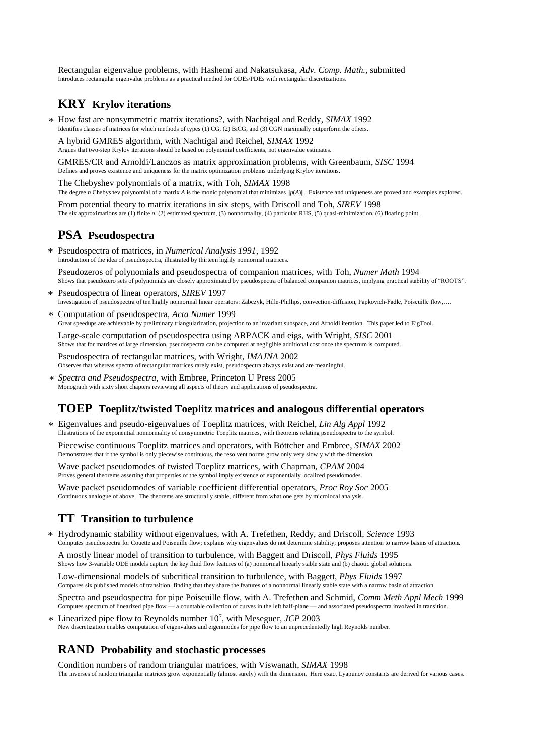Rectangular eigenvalue problems, with Hashemi and Nakatsukasa, *Adv. Comp. Math.,* submitted Introduces rectangular eigenvalue problems as a practical method for ODEs/PDEs with rectangular discretizations.

#### **KRY Krylov iterations**

How fast are nonsymmetric matrix iterations?, with Nachtigal and Reddy, *SIMAX* 1992 \* Identifies classes of matrices for which methods of types (1) CG, (2) BiCG, and (3) CGN maximally outperform the others.

A hybrid GMRES algorithm, with Nachtigal and Reichel, *SIMAX* 1992 Argues that two-step Krylov iterations should be based on polynomial coefficients, not eigenvalue estimates.

GMRES/CR and Arnoldi/Lanczos as matrix approximation problems, with Greenbaum, *SISC* 1994 Defines and proves existence and uniqueness for the matrix optimization problems underlying Krylov iterations.

The Chebyshev polynomials of a matrix, with Toh, *SIMAX* 1998 The degree *n* Chebyshev polynomial of a matrix *A* is the monic polynomial that minimizes  $||p(A)||$ . Existence and uniqueness are proved and examples explored.

From potential theory to matrix iterations in six steps, with Driscoll and Toh, *SIREV* 1998 The six approximations are (1) finite *n,* (2) estimated spectrum, (3) nonnormality, (4) particular RHS, (5) quasi-minimization, (6) floating point.

#### **PSA Pseudospectra**

Pseudospectra of matrices, in *Numerical Analysis 1991*, 1992 \* Introduction of the idea of pseudospectra, illustrated by thirteen highly nonnormal matrices.

Pseudozeros of polynomials and pseudospectra of companion matrices, with Toh, *Numer Math* 1994 Shows that pseudozero sets of polynomials are closely approximated by pseudospectra of balanced companion matrices, implying practical stability of "ROOTS".

- Pseudospectra of linear operators, *SIREV* 1997 Investigation of pseudospectra of ten highly nonnormal linear operators: Zabczyk, Hille-Phillips, convection-diffusion, Papkovich-Fadle, Poiseuille flow,…. \*
- Computation of pseudospectra, *Acta Numer* 1999 Great speedups are achievable by preliminary triangularization, projection to an invariant subspace, and Arnoldi iteration. This paper led to EigTool. \*

Large-scale computation of pseudospectra using ARPACK and eigs, with Wright, *SISC* 2001 Shows that for matrices of large dimension, pseudospectra can be computed at negligible additional cost once the spectrum is computed.

Pseudospectra of rectangular matrices, with Wright, *IMAJNA* 2002 Observes that whereas spectra of rectangular matrices rarely exist, pseudospectra always exist and are meaningful.

*Spectra and Pseudospectra*, with Embree, Princeton U Press 2005 \* Monograph with sixty short chapters reviewing all aspects of theory and applications of pseudospectra.

#### **TOEP Toeplitz/twisted Toeplitz matrices and analogous differential operators**

Eigenvalues and pseudo-eigenvalues of Toeplitz matrices, with Reichel, *Lin Alg Appl* 1992 \* Illustrations of the exponential nonnormality of nonsymmetric Toeplitz matrices, with theorems relating pseudospectra to the symbol.

Piecewise continuous Toeplitz matrices and operators, with Böttcher and Embree, *SIMAX* 2002 Demonstrates that if the symbol is only piecewise continuous, the resolvent norms grow only very slowly with the dimension.

Wave packet pseudomodes of twisted Toeplitz matrices, with Chapman, *CPAM* 2004 Proves general theorems asserting that properties of the symbol imply existence of exponentially localized pseudomodes.

Wave packet pseudomodes of variable coefficient differential operators, *Proc Roy Soc* 2005 Continuous analogue of above. The theorems are structurally stable, different from what one gets by microlocal analysis.

### **TT Transition to turbulence**

Hydrodynamic stability without eigenvalues, with A. Trefethen, Reddy, and Driscoll, *Science* 1993 Computes pseudospectra for Couette and Poiseuille flow; explains why eigenvalues do not determine stability; proposes attention to narrow basins of attraction. \*

A mostly linear model of transition to turbulence, with Baggett and Driscoll, *Phys Fluids* 1995 Shows how 3-variable ODE models capture the key fluid flow features of (a) nonnormal linearly stable state and (b) chaotic global solutions.

Low-dimensional models of subcritical transition to turbulence, with Baggett, *Phys Fluids* 1997 Compares six published models of transition, finding that they share the features of a nonnormal linearly stable state with a narrow basin of attraction.

Spectra and pseudospectra for pipe Poiseuille flow, with A. Trefethen and Schmid, *Comm Meth Appl Mech* 1999 Computes spectrum of linearized pipe flow — a countable collection of curves in the left half-plane — and associated pseudospectra involved in transition.

\* Linearized pipe flow to Reynolds number 10<sup>7</sup>, with Meseguer, *JCP* 2003 New discretization enables computation of eigenvalues and eigenmodes for pipe flow to an unprecedentedly high Reynolds number.

# **RAND Probability and stochastic processes**

Condition numbers of random triangular matrices, with Viswanath, *SIMAX* 1998 The inverses of random triangular matrices grow exponentially (almost surely) with the dimension. Here exact Lyapunov constants are derived for various cases.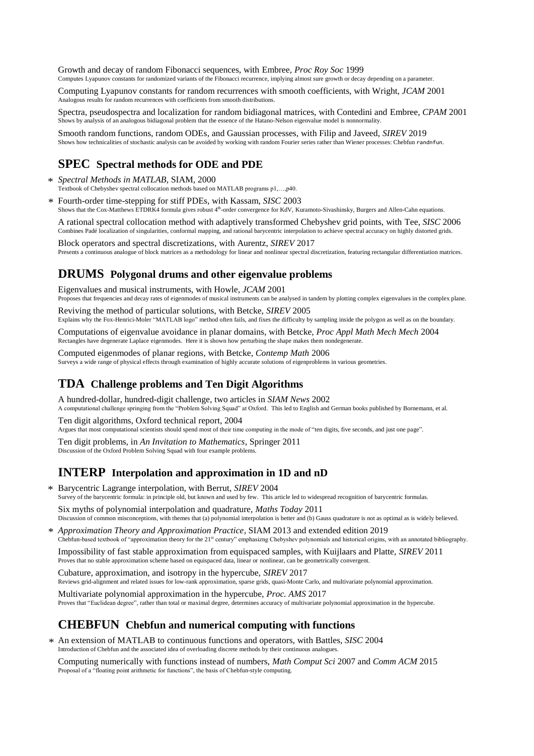Growth and decay of random Fibonacci sequences, with Embree, *Proc Roy Soc* 1999 Computes Lyapunov constants for randomized variants of the Fibonacci recurrence, implying almost sure growth or decay depending on a parameter.

Computing Lyapunov constants for random recurrences with smooth coefficients, with Wright, *JCAM* 2001 Analogous results for random recurrences with coefficients from smooth distributions.

Spectra, pseudospectra and localization for random bidiagonal matrices, with Contedini and Embree, *CPAM* 2001 Shows by analysis of an analogous bidiagonal problem that the essence of the Hatano-Nelson eigenvalue model is nonnormality.

Smooth random functions, random ODEs, and Gaussian processes, with Filip and Javeed, *SIREV* 2019 Shows how technicalities of stochastic analysis can be avoided by working with random Fourier series rather than Wiener processes: Chebfun randnfun.

### **SPEC Spectral methods for ODE and PDE**

- *Spectral Methods in MATLAB*, SIAM, 2000 \*
- Textbook of Chebyshev spectral collocation methods based on MATLAB programs p1,…,p40.

Fourth-order time-stepping for stiff PDEs, with Kassam, *SISC* 2003 Shows that the Cox-Matthews ETDRK4 formula gives robust 4<sup>th</sup>-order convergence for KdV, Kuramoto-Sivashinsky, Burgers and Allen-Cahn equations. \*

A rational spectral collocation method with adaptively transformed Chebyshev grid points, with Tee, *SISC* 2006 Combines Padé localization of singularities, conformal mapping, and rational barycentric interpolation to achieve spectral accuracy on highly distorted grids.

Block operators and spectral discretizations, with Aurentz, *SIREV* 2017 Presents a continuous analogue of block matrices as a methodology for linear and nonlinear spectral discretization, featuring rectangular differentiation matrices.

# **DRUMS Polygonal drums and other eigenvalue problems**

Eigenvalues and musical instruments, with Howle, *JCAM* 2001

Proposes that frequencies and decay rates of eigenmodes of musical instruments can be analysed in tandem by plotting complex eigenvalues in the complex plane.

Reviving the method of particular solutions, with Betcke, *SIREV* 2005

Explains why the Fox-Henrici-Moler "MATLAB logo" method often fails, and fixes the difficulty by sampling inside the polygon as well as on the boundary.

Computations of eigenvalue avoidance in planar domains, with Betcke, *Proc Appl Math Mech Mech* 2004 Rectangles have degenerate Laplace eigenmodes. Here it is shown how perturbing the shape makes them nondegenerate.

Computed eigenmodes of planar regions, with Betcke, *Contemp Math* 2006 Surveys a wide range of physical effects through examination of highly accurate solutions of eigenproblems in various geometries.

### **TDA Challenge problems and Ten Digit Algorithms**

A hundred-dollar, hundred-digit challenge, two articles in *SIAM News* 2002 A computational challenge springing from the "Problem Solving Squad" at Oxford. This led to English and German books published by Bornemann, et al.

Ten digit algorithms, Oxford technical report, 2004

Argues that most computational scientists should spend most of their time computing in the mode of "ten digits, five seconds, and just one page".

Ten digit problems, in *An Invitation to Mathematics*, Springer 2011 Discussion of the Oxford Problem Solving Squad with four example problems.

# **INTERP Interpolation and approximation in 1D and nD**

Barycentric Lagrange interpolation, with Berrut, *SIREV* 2004 \* Survey of the barycentric formula: in principle old, but known and used by few. This article led to widespread recognition of barycentric formulas. Six myths of polynomial interpolation and quadrature, *Maths Today* 2011

Discussion of common misconceptions, with themes that (a) polynomial interpolation is better and (b) Gauss quadrature is not as optimal as is widely believed.

*Approximation Theory and Approximation Practice*, SIAM 2013 and extended edition 2019 \* Chebfun-based textbook of "approximation theory for the 21st century" emphasizng Chebyshev polynomials and historical origins, with an annotated bibliography.

Impossibility of fast stable approximation from equispaced samples, with Kuijlaars and Platte, *SIREV* 2011 Proves that no stable approximation scheme based on equispaced data, linear or nonlinear, can be geometrically convergent.

Cubature, approximation, and isotropy in the hypercube, *SIREV* 2017

Reviews grid-alignment and related issues for low-rank approximation, sparse grids, quasi-Monte Carlo, and multivariate polynomial approximation.

Multivariate polynomial approximation in the hypercube, *Proc. AMS* 2017 Proves that "Euclidean degree", rather than total or maximal degree, determines accuracy of multivariate polynomial approximation in the hypercube.

# **CHEBFUN Chebfun and numerical computing with functions**

An extension of MATLAB to continuous functions and operators, with Battles, *SISC* 2004 \*Introduction of Chebfun and the associated idea of overloading discrete methods by their continuous analogues.

Computing numerically with functions instead of numbers, *Math Comput Sci* 2007 and *Comm ACM* 2015 Proposal of a "floating point arithmetic for functions", the basis of Chebfun-style computing.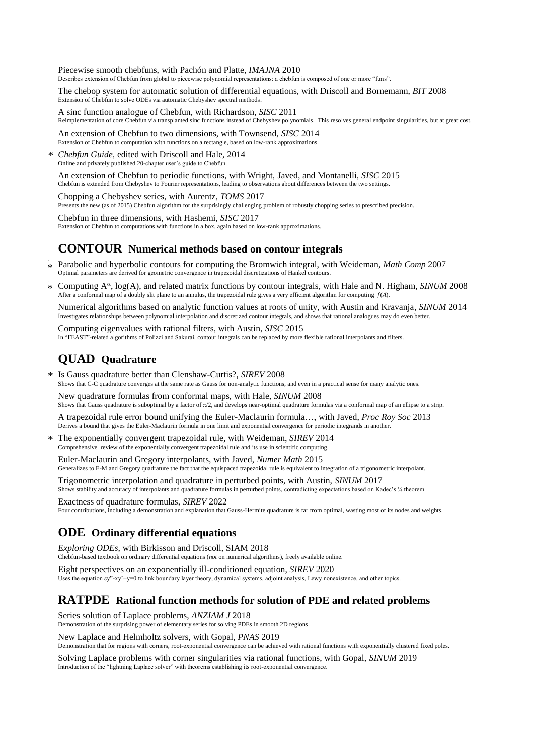Piecewise smooth chebfuns, with Pachón and Platte, *IMAJNA* 2010 Describes extension of Chebfun from global to piecewise polynomial representations: a chebfun is composed of one or more "funs".

The chebop system for automatic solution of differential equations, with Driscoll and Bornemann, *BIT* 2008 Extension of Chebfun to solve ODEs via automatic Chebyshev spectral methods.

A sinc function analogue of Chebfun, with Richardson, *SISC* 2011 Reimplementation of core Chebfun via transplanted sinc functions instead of Chebyshev polynomials. This resolves general endpoint singularities, but at great cost.

An extension of Chebfun to two dimensions, with Townsend, *SISC* 2014 Extension of Chebfun to computation with functions on a rectangle, based on low-rank approximations.

*Chebfun Guide,* edited with Driscoll and Hale, 2014 Online and privately published 20-chapter user's guide to Chebfun. \*

An extension of Chebfun to periodic functions, with Wright, Javed, and Montanelli, *SISC* 2015 Chebfun is extended from Chebyshev to Fourier representations, leading to observations about differences between the two settings.

Chopping a Chebyshev series, with Aurentz, *TOMS* 2017 Presents the new (as of 2015) Chebfun algorithm for the surprisingly challenging problem of robustly chopping series to prescribed precision.

Chebfun in three dimensions, with Hashemi, *SISC* 2017 Extension of Chebfun to computations with functions in a box, again based on low-rank approximations.

### **CONTOUR Numerical methods based on contour integrals**

- \* Parabolic and hyperbolic contours for computing the Bromwich integral, with Weideman, *Math Comp* 2007<br>Optimal parameters are derived for computing convergence in transmised discretizations of Hankel contours. Optimal parameters are derived for geometric convergence in trapezoidal discretizations of Hankel contours.
- Computing A<sup>a</sup>, log(A), and related matrix functions by contour integrals, with Hale and N. Higham, *SINUM* 2008 After a conformal map of a doubly slit plane to an annulus, the trapezoidal rule gives a very efficient algorithm for computing *f*(*A*). \*

Numerical algorithms based on analytic function values at roots of unity, with Austin and Kravanja, *SINUM* 2014 Investigates relationships between polynomial interpolation and discretized contour integrals, and shows that rational analogues may do even better.

Computing eigenvalues with rational filters, with Austin, *SISC* 2015 In "FEAST"-related algorithms of Polizzi and Sakurai, contour integrals can be replaced by more flexible rational interpolants and filters.

# **QUAD Quadrature**

Is Gauss quadrature better than Clenshaw-Curtis?, *SIREV* 2008 \* Shows that C-C quadrature converges at the same rate as Gauss for non-analytic functions, and even in a practical sense for many analytic ones.

New quadrature formulas from conformal maps, with Hale, *SINUM* 2008 Shows that Gauss quadrature is suboptimal by a factor of  $\pi/2$ , and develops near-optimal quadrature formulas via a conformal map of an ellipse to a strip.

A trapezoidal rule error bound unifying the Euler-Maclaurin formula…, with Javed, *Proc Roy Soc* 2013 Derives a bound that gives the Euler-Maclaurin formula in one limit and exponential convergence for periodic integrands in another.

The exponentially convergent trapezoidal rule, with Weideman, *SIREV* 2014 Comprehensive review of the exponentially convergent trapezoidal rule and its use in scientific computing. \*

Euler-Maclaurin and Gregory interpolants, with Javed, *Numer Math* 2015 Generalizes to E-M and Gregory quadrature the fact that the equispaced trapezoidal rule is equivalent to integration of a trigonometric interpolant.

Trigonometric interpolation and quadrature in perturbed points, with Austin, *SINUM* 2017 Shows stability and accuracy of interpolants and quadrature formulas in perturbed points, contradicting expectations based on Kadec's ¼ theorem.

Exactness of quadrature formulas, *SIREV* 2022 Four contributions, including a demonstration and explanation that Gauss-Hermite quadrature is far from optimal, wasting most of its nodes and weights.

# **ODE Ordinary differential equations**

*Exploring ODEs,* with Birkisson and Driscoll, SIAM 2018 Chebfun-based textbook on ordinary differential equations (*not* on numerical algorithms), freely available online.

Eight perspectives on an exponentially ill-conditioned equation, *SIREV* 2020 Uses the equation εy"-xy'+y=0 to link boundary layer theory, dynamical systems, adjoint analysis, Lewy nonexistence, and other topics.

### **RATPDE Rational function methods for solution of PDE and related problems**

Series solution of Laplace problems, *ANZIAM J* 2018

Demonstration of the surprising power of elementary series for solving PDEs in smooth 2D regions.

New Laplace and Helmholtz solvers, with Gopal, *PNAS* 2019

Demonstration that for regions with corners, root-exponential convergence can be achieved with rational functions with exponentially clustered fixed poles.

Solving Laplace problems with corner singularities via rational functions, with Gopal, *SINUM* 2019 Introduction of the "lightning Laplace solver" with theorems establishing its root-exponential convergence.